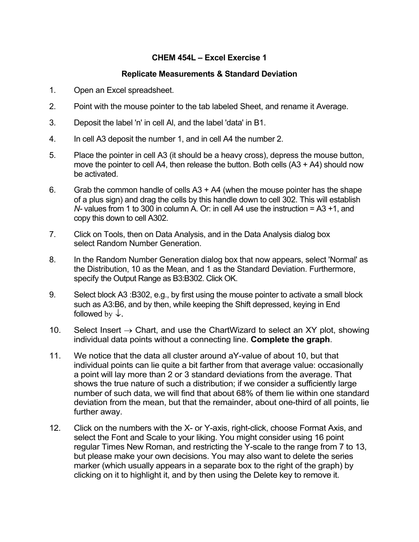## **CHEM 454L – Excel Exercise 1**

## **Replicate Measurements & Standard Deviation**

- 1. Open an Excel spreadsheet.
- 2. Point with the mouse pointer to the tab labeled Sheet, and rename it Average.
- 3. Deposit the label 'n' in cell Al, and the label 'data' in B1.
- 4. In cell A3 deposit the number 1, and in cell A4 the number 2.
- 5. Place the pointer in cell A3 (it should be a heavy cross), depress the mouse button, move the pointer to cell A4, then release the button. Both cells  $(A3 + A4)$  should now be activated.
- 6. Grab the common handle of cells  $A3 + A4$  (when the mouse pointer has the shape of a plus sign) and drag the cells by this handle down to cell 302. This will establish *N-* values from 1 to 300 in column A. Or: in cell A4 use the instruction = A3 +1, and copy this down to cell A302.
- 7. Click on Tools, then on Data Analysis, and in the Data Analysis dialog box select Random Number Generation.
- 8. In the Random Number Generation dialog box that now appears, select 'Normal' as the Distribution, 10 as the Mean, and 1 as the Standard Deviation. Furthermore, specify the Output Range as B3:B302. Click OK.
- 9. Select block A3 :B302, e.g., by first using the mouse pointer to activate a small block such as A3:B6, and by then, while keeping the Shift depressed, keying in End followed by  $\downarrow$ .
- 10. Select Insert  $\rightarrow$  Chart, and use the ChartWizard to select an XY plot, showing individual data points without a connecting line. **Complete the graph**.
- 11. We notice that the data all cluster around aY-value of about 10, but that individual points can lie quite a bit farther from that average value: occasionally a point will lay more than 2 or 3 standard deviations from the average. That shows the true nature of such a distribution; if we consider a sufficiently large number of such data, we will find that about 68% of them lie within one standard deviation from the mean, but that the remainder, about one-third of all points, lie further away.
- 12. Click on the numbers with the X- or Y-axis, right-click, choose Format Axis, and select the Font and Scale to your liking. You might consider using 16 point regular Times New Roman, and restricting the Y-scale to the range from 7 to 13, but please make your own decisions. You may also want to delete the series marker (which usually appears in a separate box to the right of the graph) by clicking on it to highlight it, and by then using the Delete key to remove it.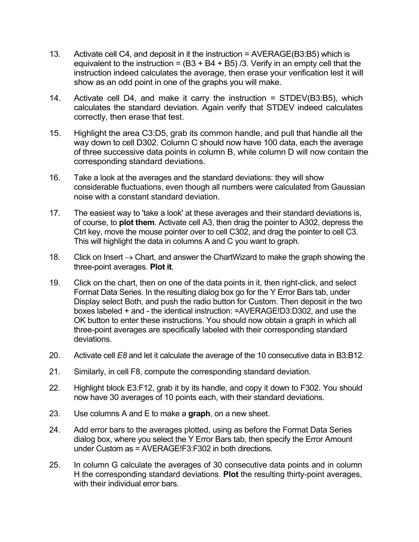- 13. Activate cell C4, and deposit in it the instruction = AVERAGE(B3:B5) which is equivalent to the instruction =  $(B3 + B4 + B5)$  /3. Verify in an empty cell that the instruction indeed calculates the average, then erase your verification lest it will show as an odd point in one of the graphs you will make.
- 14. Activate cell D4, and make it carry the instruction = STDEV(B3:B5), which calculates the standard deviation. Again verify that STDEV indeed calculates correctly, then erase that test.
- 15.Highlight the area C3:D5, grab its common handle, and pull that handle all the way down to cell D302. Column C should now have 100 data, each the average of three successive data points in column B, while column D will now contain the corresponding standard deviations.
- 16. Take a look at the averages and the standard deviations: they will show considerable fluctuations, even though all numbers were calculated from Gaussian noise with a constant standard deviation.
- 17. The easiest way to 'take a look' at these averages and their standard deviations is, of course, to **plot them**. Activate cell A3, then drag the pointer to A302, depress the Ctrl key, move the mouse pointer over to cell C302, and drag the pointer to cell C3. This will highlight the data in columns A and C you want to graph.
- 18. Click on Insert  $\rightarrow$  Chart, and answer the ChartWizard to make the graph showing the three-point averages. **Plot it**.
- 19. Click on the chart, then on one of the data points in it, then right-click, and select Format Data Series. In the resulting dialog box go for the Y Error Bars tab, under Display select Both, and push the radio button for Custom. Then deposit in the two boxes labeled + and - the identical instruction: =AVERAGE!D3:D302, and use the OK button to enter these instructions. You should now obtain a graph in which all three-point averages are specifically labeled with their corresponding standard deviations.
- 20. Activate cell *E8* and let it calculate the average of the 10 consecutive data in B3:B12.
- 21. Similarly, in cell F8, compute the corresponding standard deviation.
- 22. Highlight block E3:F12, grab it by its handle, and copy it down to F302. You should now have 30 averages of 10 points each, with their standard deviations.
- 23. Use columns A and E to make a **graph**, on a new sheet.
- 24. Add error bars to the averages plotted, using as before the Format Data Series dialog box, where you select the Y Error Bars tab, then specify the Error Amount under Custom as = AVERAGE!F3:F302 in both directions.
- 25. In column G calculate the averages of 30 consecutive data points and in column H the corresponding standard deviations. **Plot** the resulting thirty-point averages, with their individual error bars.